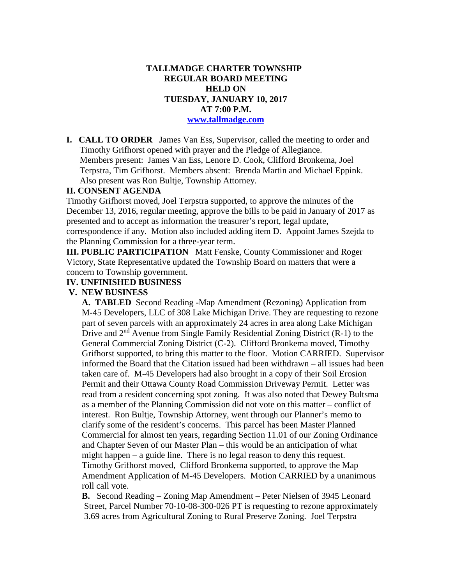### **TALLMADGE CHARTER TOWNSHIP REGULAR BOARD MEETING HELD ON TUESDAY, JANUARY 10, 2017 AT 7:00 P.M. [www.tallmadge.com](http://www.tallmadge.com/)**

**I. CALL TO ORDER** James Van Ess, Supervisor, called the meeting to order and Timothy Grifhorst opened with prayer and the Pledge of Allegiance. Members present: James Van Ess, Lenore D. Cook, Clifford Bronkema, Joel Terpstra, Tim Grifhorst. Members absent: Brenda Martin and Michael Eppink. Also present was Ron Bultje, Township Attorney.

#### **II. CONSENT AGENDA**

Timothy Grifhorst moved, Joel Terpstra supported, to approve the minutes of the December 13, 2016, regular meeting, approve the bills to be paid in January of 2017 as presented and to accept as information the treasurer's report, legal update, correspondence if any. Motion also included adding item D. Appoint James Szejda to the Planning Commission for a three-year term.

**III. PUBLIC PARTICIPATION** Matt Fenske, County Commissioner and Roger Victory, State Representative updated the Township Board on matters that were a concern to Township government.

#### **IV. UNFINISHED BUSINESS**

#### **V. NEW BUSINESS**

 **A. TABLED** Second Reading -Map Amendment (Rezoning) Application from M-45 Developers, LLC of 308 Lake Michigan Drive. They are requesting to rezone part of seven parcels with an approximately 24 acres in area along Lake Michigan Drive and  $2<sup>nd</sup>$  Avenue from Single Family Residential Zoning District (R-1) to the General Commercial Zoning District (C-2). Clifford Bronkema moved, Timothy Grifhorst supported, to bring this matter to the floor. Motion CARRIED. Supervisor informed the Board that the Citation issued had been withdrawn – all issues had been taken care of. M-45 Developers had also brought in a copy of their Soil Erosion Permit and their Ottawa County Road Commission Driveway Permit. Letter was read from a resident concerning spot zoning. It was also noted that Dewey Bultsma as a member of the Planning Commission did not vote on this matter – conflict of interest. Ron Bultje, Township Attorney, went through our Planner's memo to clarify some of the resident's concerns. This parcel has been Master Planned Commercial for almost ten years, regarding Section 11.01 of our Zoning Ordinance and Chapter Seven of our Master Plan – this would be an anticipation of what might happen – a guide line. There is no legal reason to deny this request. Timothy Grifhorst moved, Clifford Bronkema supported, to approve the Map Amendment Application of M-45 Developers. Motion CARRIED by a unanimous roll call vote.

 **B.** Second Reading – Zoning Map Amendment – Peter Nielsen of 3945 Leonard Street, Parcel Number 70-10-08-300-026 PT is requesting to rezone approximately 3.69 acres from Agricultural Zoning to Rural Preserve Zoning. Joel Terpstra